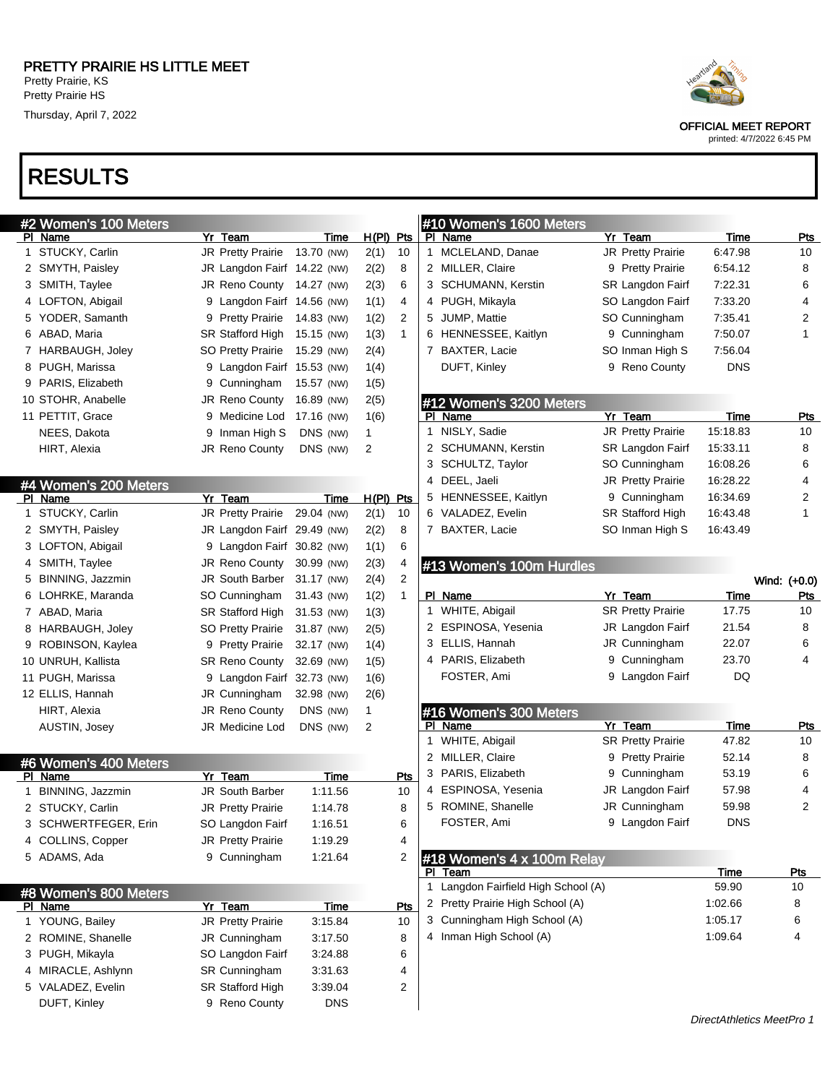# RESULTS

|    | #2 Women's 100 Meters  |   |                          |            |       |     |
|----|------------------------|---|--------------------------|------------|-------|-----|
| ΡI | Name                   |   | Yr Team                  | Time       | H(PI) | Pts |
| 1  | STUCKY, Carlin         |   | <b>JR Pretty Prairie</b> | 13.70 (NW) | 2(1)  | 10  |
| 2  | SMYTH, Paisley         |   | JR Langdon Fairf         | 14.22 (NW) | 2(2)  | 8   |
| 3  | SMITH, Taylee          |   | <b>JR Reno County</b>    | 14.27 (NW) | 2(3)  | 6   |
| 4  | LOFTON, Abigail        |   | 9 Langdon Fairf          | 14.56 (NW) | 1(1)  | 4   |
|    | 5 YODER, Samanth       | 9 | <b>Pretty Prairie</b>    | 14.83 (NW) | 1(2)  | 2   |
| 6  | ABAD, Maria            |   | <b>SR Stafford High</b>  | 15.15 (NW) | 1(3)  | 1   |
| 7  | <b>HARBAUGH, Joley</b> |   | <b>SO Pretty Prairie</b> | 15.29 (NW) | 2(4)  |     |
| 8  | PUGH, Marissa          |   | 9 Langdon Fairf          | 15.53 (NW) | 1(4)  |     |
| 9  | PARIS, Elizabeth       | 9 | Cunningham               | 15.57 (NW) | 1(5)  |     |
|    | 10 STOHR, Anabelle     |   | JR Reno County           | 16.89 (NW) | 2(5)  |     |
|    | 11 PETTIT, Grace       | 9 | Medicine Lod             | 17.16 (NW) | 1(6)  |     |
|    | NEES, Dakota           | 9 | Inman High S             | DNS (NW)   | 1     |     |
|    | HIRT, Alexia           |   | <b>JR Reno County</b>    | DNS (NW)   | 2     |     |

|     | #4 Women's 200 Meters |                             |            |       |     |
|-----|-----------------------|-----------------------------|------------|-------|-----|
| PI. | Name                  | Yr Team                     | Time       | H(PI) | Pts |
| 1   | STUCKY, Carlin        | <b>JR Pretty Prairie</b>    | 29.04 (NW) | 2(1)  | 10  |
|     | 2 SMYTH, Paisley      | JR Langdon Fairf 29.49 (NW) |            | 2(2)  | 8   |
| 3   | LOFTON, Abigail       | 9 Langdon Fairf 30.82 (NW)  |            | 1(1)  | 6   |
| 4   | SMITH, Taylee         | <b>JR Reno County</b>       | 30.99 (NW) | 2(3)  | 4   |
| 5   | BINNING, Jazzmin      | <b>JR South Barber</b>      | 31.17 (NW) | 2(4)  | 2   |
| 6   | LOHRKE, Maranda       | SO Cunningham               | 31.43 (NW) | 1(2)  | 1   |
| 7   | ABAD, Maria           | SR Stafford High            | 31.53 (NW) | 1(3)  |     |
| 8   | HARBAUGH, Joley       | <b>SO Pretty Prairie</b>    | 31.87 (NW) | 2(5)  |     |
|     | 9 ROBINSON, Kaylea    | 9 Pretty Prairie            | 32.17 (NW) | 1(4)  |     |
|     | 10 UNRUH, Kallista    | <b>SR Reno County</b>       | 32.69 (NW) | 1(5)  |     |
|     | 11 PUGH, Marissa      | 9 Langdon Fairf             | 32.73 (NW) | 1(6)  |     |
|     | 12 ELLIS, Hannah      | JR Cunningham               | 32.98 (NW) | 2(6)  |     |
|     | HIRT, Alexia          | JR Reno County              | DNS (NW)   | 1     |     |
|     | AUSTIN, Josey         | JR Medicine Lod             | DNS (NW)   | 2     |     |

|     | #6 Women's 400 Meters  |                          |            |     |
|-----|------------------------|--------------------------|------------|-----|
| PI. | Name                   | Yr Team                  | Time       | Pts |
| 1   | BINNING, Jazzmin       | <b>JR South Barber</b>   | 1:11.56    | 10  |
|     | 2 STUCKY, Carlin       | <b>JR Pretty Prairie</b> | 1:14.78    | 8   |
|     | 3 SCHWERTFEGER, Erin   | SO Langdon Fairf         | 1:16.51    | 6   |
| 4   | <b>COLLINS, Copper</b> | JR Pretty Prairie        | 1:19.29    | 4   |
| 5.  | ADAMS, Ada             | 9 Cunningham             | 1.21.64    | 2   |
|     |                        |                          |            |     |
|     | #8 Women's 800 Meters  |                          |            |     |
| PI. | Name                   | Yr Team                  | Time       | Pts |
| 1   | YOUNG, Bailey          | <b>JR Pretty Prairie</b> | 3.15.84    | 10  |
| 2   | ROMINE, Shanelle       | JR Cunningham            | 3:17.50    | 8   |
| 3   | PUGH, Mikayla          | SO Langdon Fairf         | 3:24.88    | 6   |
| 4   | MIRACLE, Ashlynn       | <b>SR Cunningham</b>     | 3:31.63    | 4   |
| 5   | VALADEZ, Evelin        | <b>SR Stafford High</b>  | 3:39.04    | 2   |
|     | DUFT, Kinley           | Reno County<br>9         | <b>DNS</b> |     |

#### #10 Women's 1600 Meters Pl Name Yr Team Time Pts 1 MCLELAND, Danae JR Pretty Prairie 6:47.98 10 2 MILLER, Claire 9 Pretty Prairie 6:54.12 8 3 SCHUMANN, Kerstin SR Langdon Fairf 7:22.31 6 4 PUGH, Mikayla SO Langdon Fairf 7:33.20 4 5 JUMP, Mattie SO Cunningham 7:35.41 2 6 HENNESSEE, Kaitlyn 9 Cunningham 7:50.07 1 7 BAXTER, Lacie SO Inman High S 7:56.04 DUFT, Kinley 9 Reno County DNS

|              | #12 Women's 3200 Meters |                          |          |     |
|--------------|-------------------------|--------------------------|----------|-----|
|              | PI Name                 | Yr Team                  | Time     | Pts |
| $\mathbf{1}$ | NISLY, Sadie            | JR Pretty Prairie        | 15:18.83 | 10  |
|              | 2 SCHUMANN, Kerstin     | <b>SR Langdon Fairf</b>  | 15:33.11 | 8   |
|              | 3 SCHULTZ, Taylor       | SO Cunningham            | 16:08.26 | 6   |
|              | 4 DEEL, Jaeli           | <b>JR Pretty Prairie</b> | 16:28.22 | 4   |
|              | 5 HENNESSEE, Kaitlyn    | 9 Cunningham             | 16:34.69 | 2   |
| 6            | VALADEZ, Evelin         | <b>SR Stafford High</b>  | 16:43.48 | 1   |
| 7            | <b>BAXTER, Lacie</b>    | SO Inman High S          | 16:43.49 |     |

#### #13 Women's 100m Hurdles

|    |                                   |   |                          |            | Wind: (+0.0) |
|----|-----------------------------------|---|--------------------------|------------|--------------|
| PI | Name                              |   | Yr Team                  | Time       | <b>Pts</b>   |
| 1  | WHITE, Abigail                    |   | <b>SR Pretty Prairie</b> | 17.75      | 10           |
| 2  | ESPINOSA, Yesenia                 |   | JR Langdon Fairf         | 21.54      | 8            |
| 3  | ELLIS, Hannah                     |   | JR Cunningham            | 22.07      | 6            |
| 4  | PARIS, Elizabeth                  | 9 | Cunningham               | 23.70      | 4            |
|    | FOSTER, Ami                       | 9 | Langdon Fairf            | DQ         |              |
|    | #16 Women's 300 Meters            |   |                          |            |              |
| РI | Name                              |   | Yr Team                  | Time       | Pts          |
| 1  | WHITE, Abigail                    |   | <b>SR Pretty Prairie</b> | 47.82      | 10           |
| 2  | MILLER, Claire                    | 9 | <b>Pretty Prairie</b>    | 52.14      | 8            |
| 3  | PARIS, Elizabeth                  | 9 | Cunningham               | 53.19      | 6            |
| 4  | ESPINOSA, Yesenia                 |   | JR Langdon Fairf         | 57.98      | 4            |
| 5  | ROMINE, Shanelle                  |   | JR Cunningham            | 59.98      | 2            |
|    | FOSTER, Ami                       | 9 | Langdon Fairf            | <b>DNS</b> |              |
|    | #18 Women's 4 x 100m Relay        |   |                          |            |              |
| Р  | Team                              |   |                          | Time       | Pts          |
| 1  | Langdon Fairfield High School (A) |   |                          | 59.90      | 10           |
| 2  | Pretty Prairie High School (A)    |   |                          | 1:02.66    | 8            |
| 3  | Cunningham High School (A)        |   |                          | 1:05.17    | 6            |
| 4  | Inman High School (A)             |   |                          | 1:09.64    | 4            |
|    |                                   |   |                          |            |              |



#### OFFICIAL MEET REPORT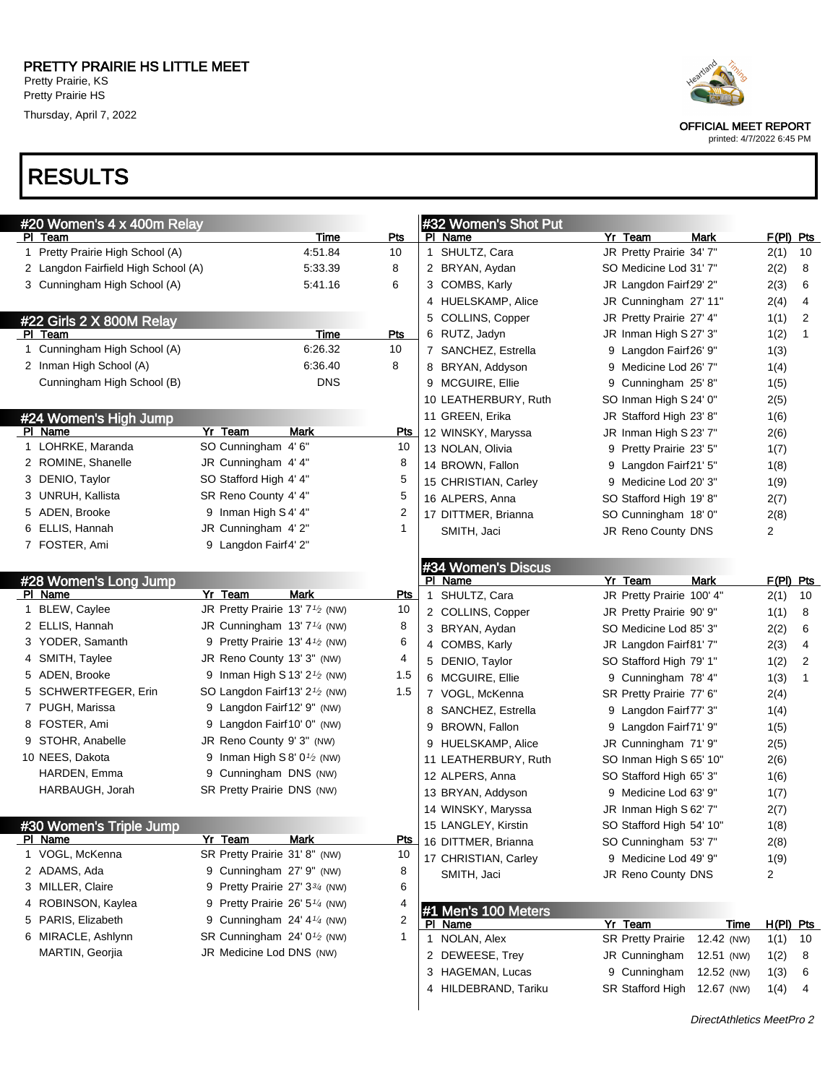Thursday, April 7, 2022

# RESULTS

| #20 Women's 4 x 400m Relay          |                                                          |            | #32 Women's Shot Put |                           |             |                |              |
|-------------------------------------|----------------------------------------------------------|------------|----------------------|---------------------------|-------------|----------------|--------------|
| <u>PI Team</u>                      | <b>Time</b>                                              | Pts        | PI Name              | Yr Team                   | Mark        | $F(PI)$ Pts    |              |
| 1 Pretty Prairie High School (A)    | 4:51.84                                                  | 10         | 1 SHULTZ, Cara       | JR Pretty Prairie 34' 7"  |             | 2(1)           | 10           |
| 2 Langdon Fairfield High School (A) | 5:33.39                                                  | 8          | 2 BRYAN, Aydan       | SO Medicine Lod 31' 7"    |             | 2(2)           | 8            |
| 3 Cunningham High School (A)        | 5:41.16                                                  | 6          | 3 COMBS, Karly       | JR Langdon Fairf29' 2"    |             | 2(3)           | 6            |
|                                     |                                                          |            | 4 HUELSKAMP, Alice   | JR Cunningham 27'11"      |             | 2(4)           | 4            |
| #22 Girls 2 X 800M Relay            |                                                          |            | 5 COLLINS, Copper    | JR Pretty Prairie 27' 4"  |             | 1(1)           | 2            |
| PI Team                             | Time                                                     | <b>Pts</b> | 6 RUTZ, Jadyn        | JR Inman High S 27' 3"    |             | 1(2)           | $\mathbf{1}$ |
| 1 Cunningham High School (A)        | 6:26.32                                                  | 10         | 7 SANCHEZ, Estrella  | 9 Langdon Fairf26' 9"     |             | 1(3)           |              |
| 2 Inman High School (A)             | 6:36.40                                                  | 8          | 8 BRYAN, Addyson     | 9 Medicine Lod 26' 7"     |             | 1(4)           |              |
| Cunningham High School (B)          | <b>DNS</b>                                               |            | 9 MCGUIRE, Ellie     | 9 Cunningham 25'8"        |             | 1(5)           |              |
|                                     |                                                          |            | 10 LEATHERBURY, Ruth | SO Inman High S 24' 0"    |             | 2(5)           |              |
| #24 Women's High Jump               |                                                          |            | 11 GREEN, Erika      | JR Stafford High 23' 8"   |             | 1(6)           |              |
| PI Name                             | Yr Team<br>Mark                                          | <u>Pts</u> | 12 WINSKY, Maryssa   | JR Inman High S 23' 7"    |             | 2(6)           |              |
| 1 LOHRKE, Maranda                   | SO Cunningham 4' 6"                                      | 10         | 13 NOLAN, Olivia     | 9 Pretty Prairie 23' 5"   |             | 1(7)           |              |
| 2 ROMINE, Shanelle                  | JR Cunningham 4' 4"                                      | 8          | 14 BROWN, Fallon     | 9 Langdon Fairf21' 5"     |             | 1(8)           |              |
| 3 DENIO, Taylor                     | SO Stafford High 4' 4"                                   | 5          | 15 CHRISTIAN, Carley | 9 Medicine Lod 20' 3"     |             | 1(9)           |              |
| 3 UNRUH, Kallista                   | SR Reno County 4' 4"                                     | 5          | 16 ALPERS, Anna      | SO Stafford High 19' 8"   |             | 2(7)           |              |
| 5 ADEN, Brooke                      | 9 Inman High S 4' 4"                                     | 2          | 17 DITTMER, Brianna  | SO Cunningham 18' 0"      |             | 2(8)           |              |
| 6 ELLIS, Hannah                     | JR Cunningham 4'2"                                       | 1          | SMITH, Jaci          | JR Reno County DNS        |             | 2              |              |
| 7 FOSTER, Ami                       | 9 Langdon Fairf4' 2"                                     |            |                      |                           |             |                |              |
|                                     |                                                          |            | #34 Women's Discus   |                           |             |                |              |
| #28 Women's Long Jump               |                                                          |            | PI Name              | Yr Team                   | <b>Mark</b> |                | F(PI) Pts    |
| PI Name                             | Yr Team<br><b>Mark</b>                                   | <b>Pts</b> | SHULTZ, Cara<br>1    | JR Pretty Prairie 100' 4" |             | 2(1)           | 10           |
| 1 BLEW, Caylee                      | JR Pretty Prairie 13' 7 <sup>1</sup> / <sub>2</sub> (NW) | 10         | 2 COLLINS, Copper    | JR Pretty Prairie 90' 9"  |             | 1(1)           | 8            |
| 2 ELLIS, Hannah                     | JR Cunningham $13'7'$ <sup>4</sup> (NW)                  | 8          | 3 BRYAN, Aydan       | SO Medicine Lod 85' 3"    |             | 2(2)           | 6            |
| 3 YODER, Samanth                    | 9 Pretty Prairie 13' $4\frac{1}{2}$ (NW)                 | 6          | 4 COMBS, Karly       | JR Langdon Fairf81' 7"    |             | 2(3)           | 4            |
| 4 SMITH, Taylee                     | JR Reno County 13' 3" (NW)                               | 4          | 5 DENIO, Taylor      | SO Stafford High 79' 1"   |             | 1(2)           | 2            |
| 5 ADEN, Brooke                      | 9 Inman High S 13' $2\frac{1}{2}$ (NW)                   | 1.5        | 6 MCGUIRE, Ellie     | 9 Cunningham 78' 4"       |             | 1(3)           | $\mathbf{1}$ |
| 5 SCHWERTFEGER, Erin                | SO Langdon Fairf13' 2 <sup>1</sup> / <sub>2</sub> (NW)   | 1.5        | 7 VOGL, McKenna      | SR Pretty Prairie 77' 6"  |             | 2(4)           |              |
| 7 PUGH, Marissa                     | 9 Langdon Fairf12' 9" (NW)                               |            | 8 SANCHEZ, Estrella  | 9 Langdon Fairf77' 3"     |             | 1(4)           |              |
| 8 FOSTER, Ami                       | 9 Langdon Fairf10' 0" (NW)                               |            | 9 BROWN, Fallon      | 9 Langdon Fairf71' 9"     |             | 1(5)           |              |
| 9 STOHR, Anabelle                   | JR Reno County 9' 3" (NW)                                |            | 9 HUELSKAMP, Alice   | JR Cunningham 71'9"       |             | 2(5)           |              |
| 10 NEES, Dakota                     | 9 Inman High S 8' $0\frac{1}{2}$ (NW)                    |            | 11 LEATHERBURY, Ruth | SO Inman High S 65' 10"   |             | 2(6)           |              |
| HARDEN, Emma                        | 9 Cunningham DNS (NW)                                    |            | 12 ALPERS, Anna      | SO Stafford High 65' 3"   |             | 1(6)           |              |
| HARBAUGH, Jorah                     | SR Pretty Prairie DNS (NW)                               |            | 13 BRYAN, Addyson    | 9 Medicine Lod 63' 9"     |             | 1(7)           |              |
|                                     |                                                          |            | 14 WINSKY, Maryssa   | JR Inman High S 62' 7"    |             | 2(7)           |              |
| #30 Women's Triple Jump             |                                                          |            | 15 LANGLEY, Kirstin  | SO Stafford High 54' 10"  |             | 1(8)           |              |
| PI Name                             | Yr Team<br><b>Mark</b>                                   | <u>Pts</u> | 16 DITTMER, Brianna  | SO Cunningham 53' 7"      |             | 2(8)           |              |
| 1 VOGL, McKenna                     | SR Pretty Prairie 31' 8" (NW)                            | 10         | 17 CHRISTIAN, Carley | 9 Medicine Lod 49' 9"     |             | 1(9)           |              |
| 2 ADAMS, Ada                        | 9 Cunningham 27' 9" (NW)                                 | 8          | SMITH, Jaci          | JR Reno County DNS        |             | $\overline{2}$ |              |
| 3 MILLER, Claire                    | 9 Pretty Prairie 27' 33/4 (NW)                           | 6          |                      |                           |             |                |              |
| 4 ROBINSON, Kaylea                  | 9 Pretty Prairie 26' 5 <sup>1/4</sup> (NW)               | 4          | #1 Men's 100 Meters  |                           |             |                |              |
| 5 PARIS, Elizabeth                  | 9 Cunningham $24'$ 4 $\frac{1}{4}$ (NW)                  | 2          | PI Name              | Yr Team                   | Time        | $H(PI)$ Pts    |              |
| 6 MIRACLE, Ashlynn                  | SR Cunningham 24' 0 <sup>1</sup> / <sub>2</sub> (NW)     | 1          | 1 NOLAN, Alex        | <b>SR Pretty Prairie</b>  | 12.42 (NW)  | 1(1)           | 10           |
| MARTIN, Georjia                     | JR Medicine Lod DNS (NW)                                 |            | 2 DEWEESE, Trey      | JR Cunningham             | 12.51 (NW)  | 1(2)           | 8            |
|                                     |                                                          |            | 3 HAGEMAN, Lucas     | 9 Cunningham              | 12.52 (NW)  | 1(3)           | 6            |
|                                     |                                                          |            | 4 HILDEBRAND, Tariku | SR Stafford High          | 12.67 (NW)  | 1(4)           | 4            |
|                                     |                                                          |            |                      |                           |             |                |              |



OFFICIAL MEET REPORT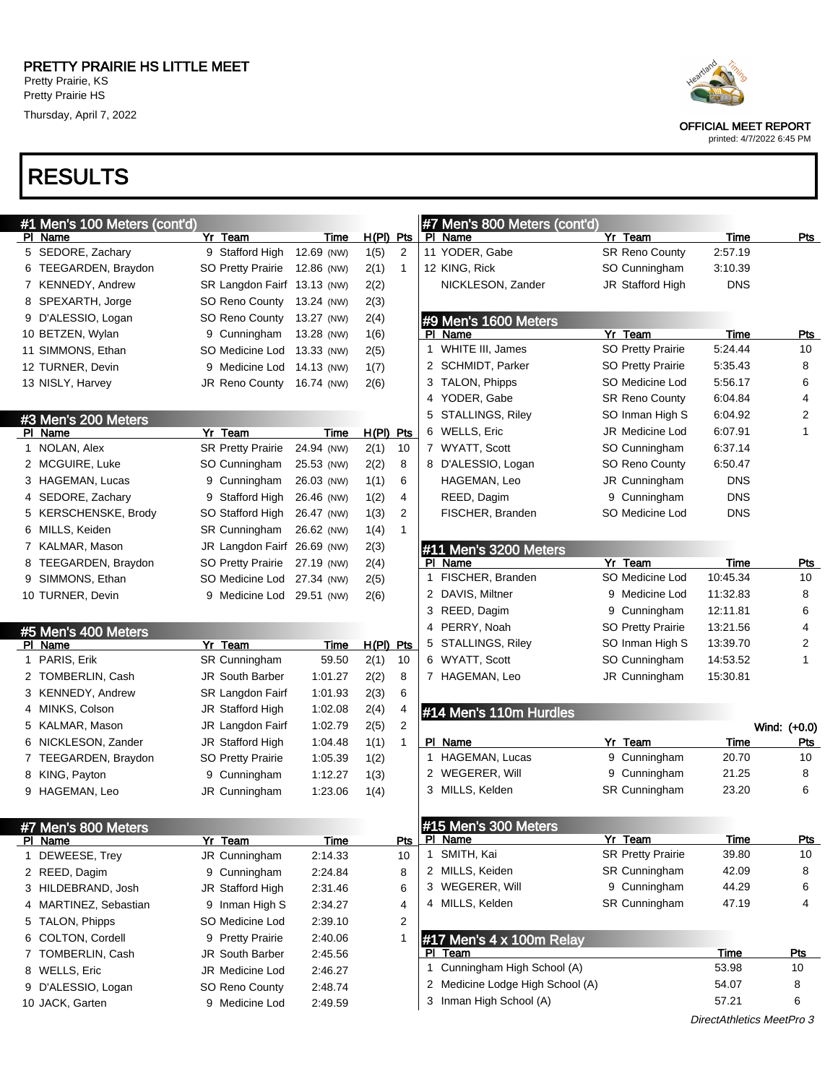Thursday, April 7, 2022

## RESULTS

| #1 Men's 100 Meters (cont'd)   |                                  |             |             |                | #7 Men's 800 Meters (cont'd)     |                          |                           |              |
|--------------------------------|----------------------------------|-------------|-------------|----------------|----------------------------------|--------------------------|---------------------------|--------------|
| PI Name                        | Yr Team                          | Time        | $H(PI)$ Pts |                | PI Name                          | Yr Team                  | <b>Time</b>               | Pts          |
| 5 SEDORE, Zachary              | 9 Stafford High                  | 12.69 (NW)  | 1(5)        | 2              | 11 YODER, Gabe                   | <b>SR Reno County</b>    | 2:57.19                   |              |
| 6 TEEGARDEN, Braydon           | <b>SO Pretty Prairie</b>         | 12.86 (NW)  | 2(1)        | 1              | 12 KING, Rick                    | SO Cunningham            | 3:10.39                   |              |
| 7 KENNEDY, Andrew              | SR Langdon Fairf 13.13 (NW)      |             | 2(2)        |                | NICKLESON, Zander                | JR Stafford High         | <b>DNS</b>                |              |
| 8 SPEXARTH, Jorge              | <b>SO Reno County</b>            | 13.24 (NW)  | 2(3)        |                |                                  |                          |                           |              |
| 9 D'ALESSIO, Logan             | <b>SO Reno County</b>            | 13.27 (NW)  | 2(4)        |                | #9 Men's 1600 Meters             |                          |                           |              |
| 10 BETZEN, Wylan               | 9 Cunningham                     | 13.28 (NW)  | 1(6)        |                | PI Name                          | Yr Team                  | Time                      | Pts          |
| 11 SIMMONS, Ethan              | SO Medicine Lod                  | 13.33 (NW)  | 2(5)        |                | 1 WHITE III, James               | <b>SO Pretty Prairie</b> | 5:24.44                   | 10           |
| 12 TURNER, Devin               | 9 Medicine Lod                   | 14.13 (NW)  | 1(7)        |                | 2 SCHMIDT, Parker                | <b>SO Pretty Prairie</b> | 5:35.43                   | 8            |
| 13 NISLY, Harvey               | JR Reno County                   | 16.74 (NW)  | 2(6)        |                | 3 TALON, Phipps                  | SO Medicine Lod          | 5:56.17                   | 6            |
|                                |                                  |             |             |                | 4 YODER, Gabe                    | <b>SR Reno County</b>    | 6:04.84                   | 4            |
| #3 Men's 200 Meters            |                                  |             |             |                | 5 STALLINGS, Riley               | SO Inman High S          | 6:04.92                   | 2            |
| PI Name                        | Yr Team                          | Time        | $H(PI)$ Pts |                | 6 WELLS, Eric                    | JR Medicine Lod          | 6:07.91                   | 1            |
| 1 NOLAN, Alex                  | <b>SR Pretty Prairie</b>         | 24.94 (NW)  | 2(1)        | 10             | 7 WYATT, Scott                   | SO Cunningham            | 6:37.14                   |              |
| 2 MCGUIRE, Luke                | SO Cunningham                    | 25.53 (NW)  | 2(2)        | 8              | 8 D'ALESSIO, Logan               | SO Reno County           | 6:50.47                   |              |
| 3 HAGEMAN, Lucas               | 9 Cunningham                     | 26.03 (NW)  | 1(1)        | 6              | HAGEMAN, Leo                     | JR Cunningham            | <b>DNS</b>                |              |
| 4 SEDORE, Zachary              | 9 Stafford High                  | 26.46 (NW)  | 1(2)        | 4              | REED, Dagim                      | 9 Cunningham             | <b>DNS</b>                |              |
| 5 KERSCHENSKE, Brody           | SO Stafford High                 | 26.47 (NW)  | 1(3)        | $\overline{2}$ | FISCHER, Branden                 | SO Medicine Lod          | <b>DNS</b>                |              |
| 6 MILLS, Keiden                | <b>SR Cunningham</b>             | 26.62 (NW)  | 1(4)        | $\mathbf{1}$   |                                  |                          |                           |              |
| 7 KALMAR, Mason                | JR Langdon Fairf 26.69 (NW)      |             | 2(3)        |                | #11 Men's 3200 Meters            |                          |                           |              |
| 8 TEEGARDEN, Braydon           | <b>SO Pretty Prairie</b>         | 27.19 (NW)  | 2(4)        |                | PI Name                          | Yr Team                  | Time                      | Pts          |
| 9 SIMMONS, Ethan               | SO Medicine Lod                  | 27.34 (NW)  | 2(5)        |                | 1 FISCHER, Branden               | SO Medicine Lod          | 10:45.34                  | 10           |
| 10 TURNER, Devin               | 9 Medicine Lod 29.51 (NW)        |             | 2(6)        |                | 2 DAVIS, Miltner                 | 9 Medicine Lod           | 11:32.83                  | 8            |
|                                |                                  |             |             |                | 3 REED, Dagim                    | 9 Cunningham             | 12:11.81                  | 6            |
| #5 Men's 400 Meters            |                                  |             |             |                | 4 PERRY, Noah                    | <b>SO Pretty Prairie</b> | 13:21.56                  | 4            |
| PI Name                        | Yr Team                          | Time        | $H(PI)$ Pts |                | 5 STALLINGS, Riley               | SO Inman High S          | 13:39.70                  | 2            |
| 1 PARIS, Erik                  | SR Cunningham                    | 59.50       | 2(1)        | 10             | 6 WYATT, Scott                   | SO Cunningham            | 14:53.52                  | $\mathbf{1}$ |
| 2 TOMBERLIN, Cash              | <b>JR South Barber</b>           | 1:01.27     | 2(2)        | 8              | 7 HAGEMAN, Leo                   | JR Cunningham            | 15:30.81                  |              |
| 3 KENNEDY, Andrew              | SR Langdon Fairf                 | 1:01.93     | 2(3)        | 6              |                                  |                          |                           |              |
| 4 MINKS, Colson                | JR Stafford High                 | 1:02.08     | 2(4)        | 4              | #14 Men's 110m Hurdles           |                          |                           |              |
| 5 KALMAR, Mason                | JR Langdon Fairf                 | 1:02.79     | 2(5)        | $\overline{2}$ |                                  |                          |                           | Wind: (+0.0) |
| 6 NICKLESON, Zander            | JR Stafford High                 | 1:04.48     | 1(1)        | $\mathbf{1}$   | PI Name                          | Yr Team                  | Time                      | Pts          |
| 7 TEEGARDEN, Braydon           | SO Pretty Prairie                | 1:05.39     | 1(2)        |                | 1 HAGEMAN, Lucas                 | 9 Cunningham             | 20.70                     | 10           |
| 8 KING, Payton                 | 9 Cunningham                     | 1:12.27     | 1(3)        |                | 2 WEGERER, Will                  | 9 Cunningham             | 21.25                     | 8            |
| 9 HAGEMAN, Leo                 | JR Cunningham                    | 1:23.06     | 1(4)        |                | 3 MILLS, Kelden                  | SR Cunningham            | 23.20                     | 6            |
|                                |                                  |             |             |                |                                  |                          |                           |              |
|                                |                                  |             |             |                | $\#15$ Men's 300 Meters          |                          |                           |              |
| #7 Men's 800 Meters<br>PI Name | Yr Team                          | <b>Time</b> |             | Pts            | PI Name                          | Yr Team                  | <b>Time</b>               | Pts          |
| 1 DEWEESE, Trey                | JR Cunningham                    | 2:14.33     |             | 10             | 1 SMITH, Kai                     | <b>SR Pretty Prairie</b> | 39.80                     | 10           |
| 2 REED, Dagim                  | 9 Cunningham                     | 2:24.84     |             | 8              | 2 MILLS, Keiden                  | <b>SR Cunningham</b>     | 42.09                     | 8            |
| 3 HILDEBRAND, Josh             | JR Stafford High                 | 2:31.46     |             | 6              | 3 WEGERER, Will                  | 9 Cunningham             | 44.29                     | 6            |
| 4 MARTINEZ, Sebastian          | 9 Inman High S                   | 2:34.27     |             | 4              | 4 MILLS, Kelden                  | <b>SR Cunningham</b>     | 47.19                     | 4            |
| 5 TALON, Phipps                | SO Medicine Lod                  | 2:39.10     |             | 2              |                                  |                          |                           |              |
| 6 COLTON, Cordell              | 9 Pretty Prairie                 | 2:40.06     |             | 1              | #17 Men's 4 x 100m Relay         |                          |                           |              |
| 7 TOMBERLIN, Cash              | <b>JR South Barber</b>           | 2:45.56     |             |                | PI Team                          |                          | Time                      | <u>Pts</u>   |
| 8 WELLS, Eric                  | JR Medicine Lod                  | 2:46.27     |             |                | 1 Cunningham High School (A)     |                          | 53.98                     | 10           |
|                                |                                  | 2:48.74     |             |                | 2 Medicine Lodge High School (A) |                          | 54.07                     | 8            |
| 9 D'ALESSIO, Logan             | SO Reno County<br>9 Medicine Lod |             |             |                | 3 Inman High School (A)          |                          | 57.21                     | 6            |
| 10 JACK, Garten                |                                  | 2:49.59     |             |                |                                  |                          | DirectAthletics MeetPro 3 |              |
|                                |                                  |             |             |                |                                  |                          |                           |              |



OFFICIAL MEET REPORT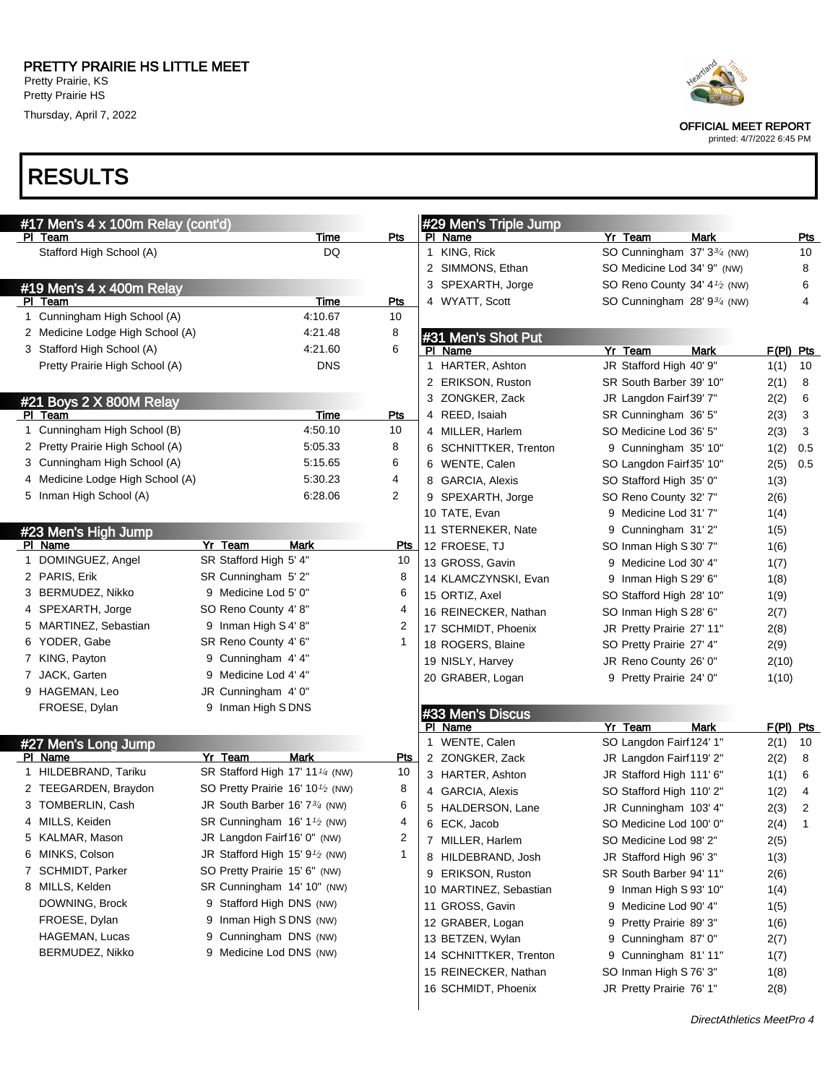Thursday, April 7, 2022

# RESULTS

| #17 Men's 4 x 100m Relay (cont'd) |         |                                                           |              |              | #29 Men's Triple Jump  |                                           |             |             |            |
|-----------------------------------|---------|-----------------------------------------------------------|--------------|--------------|------------------------|-------------------------------------------|-------------|-------------|------------|
| PI Team                           |         | Time                                                      | Pts          |              | PI Name                | Yr Team                                   | <b>Mark</b> |             | <u>Pts</u> |
| Stafford High School (A)          |         | DQ                                                        |              | $\mathbf{1}$ | KING, Rick             | SO Cunningham 37' 33/4 (NW)               |             |             | 10         |
|                                   |         |                                                           |              |              | 2 SIMMONS, Ethan       | SO Medicine Lod 34' 9" (NW)               |             |             | 8          |
| #19 Men's 4 x 400m Relay          |         |                                                           |              |              | 3 SPEXARTH, Jorge      | SO Reno County 34' 4 <sup>1</sup> /2 (NW) |             |             | 6          |
| PI Team                           |         | Time                                                      | <b>Pts</b>   |              | 4 WYATT, Scott         | SO Cunningham $28' 9^{3/4}$ (NW)          |             |             | 4          |
| 1 Cunningham High School (A)      |         | 4:10.67                                                   | 10           |              |                        |                                           |             |             |            |
| 2 Medicine Lodge High School (A)  |         | 4:21.48                                                   | 8            |              | #31 Men's Shot Put     |                                           |             |             |            |
| 3 Stafford High School (A)        |         | 4:21.60                                                   | 6            |              | PI Name                | Yr Team                                   | Mark        | $F(PI)$ Pts |            |
| Pretty Prairie High School (A)    |         | <b>DNS</b>                                                |              |              | 1 HARTER, Ashton       | JR Stafford High 40' 9"                   |             | 1(1)        | 10         |
|                                   |         |                                                           |              |              | 2 ERIKSON, Ruston      | SR South Barber 39' 10"                   |             | 2(1)        | 8          |
| #21 Boys 2 X 800M Relay           |         |                                                           |              |              | 3 ZONGKER, Zack        | JR Langdon Fairf39' 7"                    |             | 2(2)        | 6          |
| PI Team                           |         | Time                                                      | Pts          |              | 4 REED, Isaiah         | SR Cunningham 36' 5"                      |             | 2(3)        | 3          |
| 1 Cunningham High School (B)      |         | 4:50.10                                                   | 10           |              | 4 MILLER, Harlem       | SO Medicine Lod 36' 5"                    |             | 2(3)        | 3          |
| 2 Pretty Prairie High School (A)  |         | 5:05.33                                                   | 8            |              | 6 SCHNITTKER, Trenton  | 9 Cunningham 35' 10"                      |             | 1(2)        | 0.5        |
| 3 Cunningham High School (A)      |         | 5:15.65                                                   | 6            |              | 6 WENTE, Calen         | SO Langdon Fairf35' 10"                   |             | 2(5)        | 0.5        |
| 4 Medicine Lodge High School (A)  |         | 5:30.23                                                   | 4            |              | 8 GARCIA, Alexis       | SO Stafford High 35' 0"                   |             | 1(3)        |            |
| 5 Inman High School (A)           |         | 6.28.06                                                   | 2            |              | 9 SPEXARTH, Jorge      | SO Reno County 32' 7"                     |             | 2(6)        |            |
|                                   |         |                                                           |              |              | 10 TATE, Evan          | 9 Medicine Lod 31' 7"                     |             |             |            |
|                                   |         |                                                           |              |              | 11 STERNEKER, Nate     |                                           |             | 1(4)        |            |
| #23 Men's High Jump<br>PI Name    | Yr Team | Mark                                                      | <u>Pts</u>   |              |                        | 9 Cunningham 31'2"                        |             | 1(5)        |            |
| 1 DOMINGUEZ, Angel                |         | SR Stafford High 5' 4"                                    | 10           |              | 12 FROESE, TJ          | SO Inman High S 30' 7"                    |             | 1(6)        |            |
| 2 PARIS, Erik                     |         | SR Cunningham 5'2"                                        | 8            |              | 13 GROSS, Gavin        | 9 Medicine Lod 30' 4"                     |             | 1(7)        |            |
| 3 BERMUDEZ, Nikko                 |         | 9 Medicine Lod 5' 0"                                      | 6            |              | 14 KLAMCZYNSKI, Evan   | 9 Inman High S 29' 6"                     |             | 1(8)        |            |
|                                   |         |                                                           |              |              | 15 ORTIZ, Axel         | SO Stafford High 28' 10"                  |             | 1(9)        |            |
| 4 SPEXARTH, Jorge                 |         | SO Reno County 4' 8"                                      | 4            |              | 16 REINECKER, Nathan   | SO Inman High S 28' 6"                    |             | 2(7)        |            |
| 5 MARTINEZ, Sebastian             |         | 9 Inman High S 4' 8"                                      | 2            |              | 17 SCHMIDT, Phoenix    | JR Pretty Prairie 27' 11"                 |             | 2(8)        |            |
| 6 YODER, Gabe                     |         | SR Reno County 4' 6"                                      | $\mathbf{1}$ |              | 18 ROGERS, Blaine      | SO Pretty Prairie 27' 4"                  |             | 2(9)        |            |
| 7 KING, Payton                    |         | 9 Cunningham 4' 4"                                        |              |              | 19 NISLY, Harvey       | JR Reno County 26' 0"                     |             | 2(10)       |            |
| 7 JACK, Garten                    |         | 9 Medicine Lod 4' 4"                                      |              |              | 20 GRABER, Logan       | 9 Pretty Prairie 24' 0"                   |             | 1(10)       |            |
| 9 HAGEMAN, Leo                    |         | JR Cunningham 4' 0"                                       |              |              |                        |                                           |             |             |            |
| FROESE, Dylan                     |         | 9 Inman High SDNS                                         |              |              | #33 Men's Discus       |                                           |             |             |            |
|                                   |         |                                                           |              |              | PI Name                | Yr Team                                   | Mark        | F(PI) Pts   |            |
| #27 Men's Long Jump               |         |                                                           |              |              | 1 WENTE, Calen         | SO Langdon Fairf 124' 1"                  |             | 2(1)        | 10         |
| PI Name                           | Yr Team | Mark                                                      | <b>Pts</b>   |              | 2 ZONGKER, Zack        | JR Langdon Fairf 119' 2"                  |             | 2(2)        | 8          |
| 1 HILDEBRAND, Tariku              |         | SR Stafford High 17' 11 <sup>1/4</sup> (NW)               | 10           |              | 3 HARTER, Ashton       | JR Stafford High 111' 6"                  |             | 1(1)        | 6          |
| 2 TEEGARDEN, Braydon              |         | SO Pretty Prairie 16' 10 <sup>1</sup> / <sub>2</sub> (NW) | 8            |              | 4 GARCIA, Alexis       | SO Stafford High 110' 2"                  |             | 1(2)        | 4          |
| 3 TOMBERLIN, Cash                 |         | JR South Barber 16' 7 <sup>3/4</sup> (NW)                 | 6            |              | 5 HALDERSON, Lane      | JR Cunningham 103' 4"                     |             | 2(3)        | 2          |
| 4 MILLS, Keiden                   |         | SR Cunningham 16' 1 <sup>1/2</sup> (NW)                   | 4            |              | 6 ECK, Jacob           | SO Medicine Lod 100' 0"                   |             | 2(4)        | 1          |
| 5 KALMAR, Mason                   |         | JR Langdon Fairf16' 0" (NW)                               | 2            |              | 7 MILLER, Harlem       | SO Medicine Lod 98' 2"                    |             | 2(5)        |            |
| 6 MINKS, Colson                   |         | JR Stafford High 15' $91$ (NW)                            | $\mathbf 1$  |              | 8 HILDEBRAND, Josh     | JR Stafford High 96' 3"                   |             | 1(3)        |            |
| 7 SCHMIDT, Parker                 |         | SO Pretty Prairie 15' 6" (NW)                             |              |              | 9 ERIKSON, Ruston      | SR South Barber 94' 11"                   |             | 2(6)        |            |
| 8 MILLS, Kelden                   |         | SR Cunningham 14' 10" (NW)                                |              |              | 10 MARTINEZ, Sebastian | 9 Inman High S 93' 10"                    |             | 1(4)        |            |
| DOWNING, Brock                    |         | 9 Stafford High DNS (NW)                                  |              |              | 11 GROSS, Gavin        | 9 Medicine Lod 90' 4"                     |             | 1(5)        |            |
| FROESE, Dylan                     |         | 9 Inman High S DNS (NW)                                   |              |              | 12 GRABER, Logan       | 9 Pretty Prairie 89' 3"                   |             | 1(6)        |            |
| HAGEMAN, Lucas                    |         | 9 Cunningham DNS (NW)                                     |              |              | 13 BETZEN, Wylan       | 9 Cunningham 87' 0"                       |             | 2(7)        |            |
| BERMUDEZ, Nikko                   |         | 9 Medicine Lod DNS (NW)                                   |              |              | 14 SCHNITTKER, Trenton | 9 Cunningham 81'11"                       |             | 1(7)        |            |
|                                   |         |                                                           |              |              | 15 REINECKER, Nathan   | SO Inman High S76' 3"                     |             | 1(8)        |            |
|                                   |         |                                                           |              |              | 16 SCHMIDT, Phoenix    | JR Pretty Prairie 76' 1"                  |             | 2(8)        |            |
|                                   |         |                                                           |              |              |                        |                                           |             |             |            |
|                                   |         |                                                           |              |              |                        |                                           |             |             |            |



OFFICIAL MEET REPORT